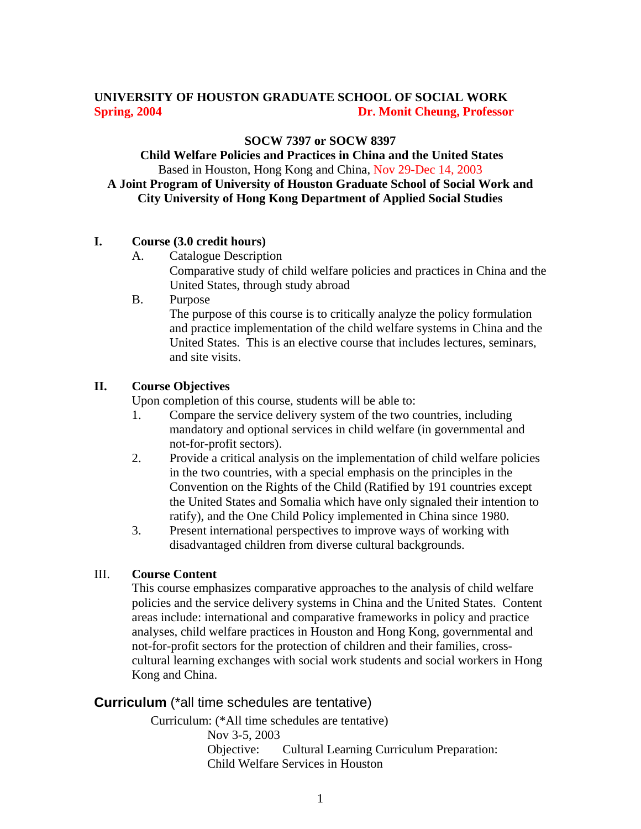# **UNIVERSITY OF HOUSTON GRADUATE SCHOOL OF SOCIAL WORK Spring, 2004 Dr. Monit Cheung, Professor**

#### **SOCW 7397 or SOCW 8397**

 **Child Welfare Policies and Practices in China and the United States**  Based in Houston, Hong Kong and China, Nov 29-Dec 14, 2003 **A Joint Program of University of Houston Graduate School of Social Work and City University of Hong Kong Department of Applied Social Studies** 

#### **I. Course (3.0 credit hours)**

A. Catalogue Description

Comparative study of child welfare policies and practices in China and the United States, through study abroad

B. Purpose

The purpose of this course is to critically analyze the policy formulation and practice implementation of the child welfare systems in China and the United States. This is an elective course that includes lectures, seminars, and site visits.

### **II. Course Objectives**

Upon completion of this course, students will be able to:

- 1. Compare the service delivery system of the two countries, including mandatory and optional services in child welfare (in governmental and not-for-profit sectors).
- 2. Provide a critical analysis on the implementation of child welfare policies in the two countries, with a special emphasis on the principles in the Convention on the Rights of the Child (Ratified by 191 countries except the United States and Somalia which have only signaled their intention to ratify), and the One Child Policy implemented in China since 1980.
- 3. Present international perspectives to improve ways of working with disadvantaged children from diverse cultural backgrounds.

#### III. **Course Content**

This course emphasizes comparative approaches to the analysis of child welfare policies and the service delivery systems in China and the United States. Content areas include: international and comparative frameworks in policy and practice analyses, child welfare practices in Houston and Hong Kong, governmental and not-for-profit sectors for the protection of children and their families, crosscultural learning exchanges with social work students and social workers in Hong Kong and China.

## **Curriculum** (\*all time schedules are tentative)

Curriculum: (\*All time schedules are tentative) Nov 3-5, 2003 Objective: Cultural Learning Curriculum Preparation: Child Welfare Services in Houston